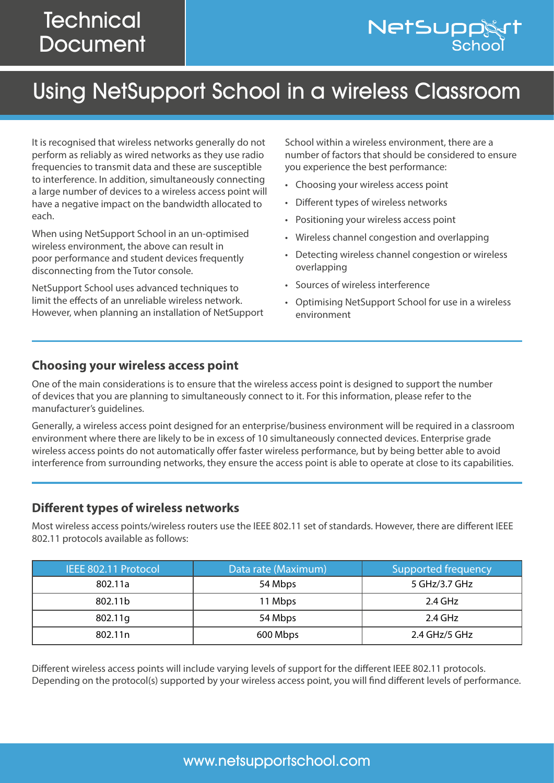## **Technical Document**

# Using NetSupport School in a wireless Classroom

It is recognised that wireless networks generally do not perform as reliably as wired networks as they use radio frequencies to transmit data and these are susceptible to interference. In addition, simultaneously connecting a large number of devices to a wireless access point will have a negative impact on the bandwidth allocated to each.

When using NetSupport School in an un-optimised wireless environment, the above can result in poor performance and student devices frequently disconnecting from the Tutor console.

NetSupport School uses advanced techniques to limit the effects of an unreliable wireless network. However, when planning an installation of NetSupport

School within a wireless environment, there are a number of factors that should be considered to ensure you experience the best performance:

- Choosing your wireless access point
- Different types of wireless networks
- Positioning your wireless access point
- Wireless channel congestion and overlapping
- Detecting wireless channel congestion or wireless overlapping
- Sources of wireless interference
- Optimising NetSupport School for use in a wireless environment

#### **Choosing your wireless access point**

One of the main considerations is to ensure that the wireless access point is designed to support the number of devices that you are planning to simultaneously connect to it. For this information, please refer to the manufacturer's guidelines.

Generally, a wireless access point designed for an enterprise/business environment will be required in a classroom environment where there are likely to be in excess of 10 simultaneously connected devices. Enterprise grade wireless access points do not automatically offer faster wireless performance, but by being better able to avoid interference from surrounding networks, they ensure the access point is able to operate at close to its capabilities.

#### **Different types of wireless networks**

Most wireless access points/wireless routers use the IEEE 802.11 set of standards. However, there are different IEEE 802.11 protocols available as follows:

| IEEE 802.11 Protocol | Data rate (Maximum) | <b>Supported frequency</b> |
|----------------------|---------------------|----------------------------|
| 802.11a              | 54 Mbps             | 5 GHz/3.7 GHz              |
| 802.11b              | 11 Mbps             | 2.4 GHz                    |
| 802.11g              | 54 Mbps             | 2.4 GHz                    |
| 802.11 <sub>n</sub>  | 600 Mbps            | 2.4 GHz/5 GHz              |

Different wireless access points will include varying levels of support for the different IEEE 802.11 protocols. Depending on the protocol(s) supported by your wireless access point, you will find different levels of performance.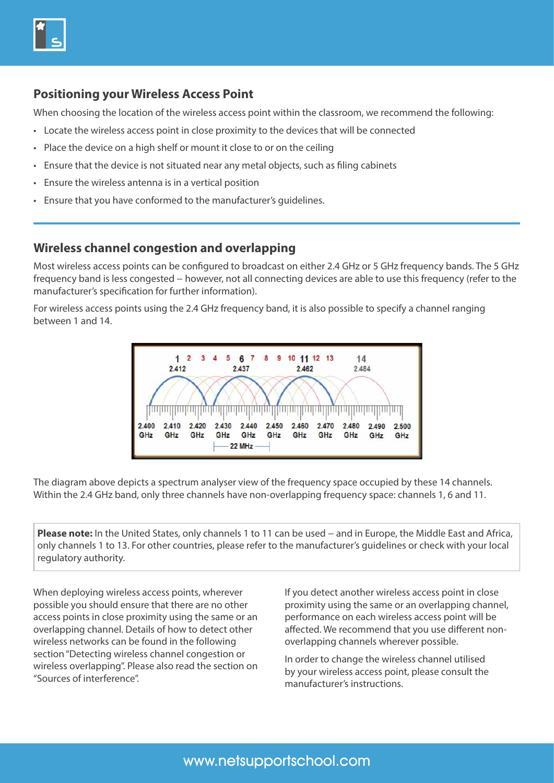

#### **Positioning your Wireless Access Point**

When choosing the location of the wireless access point within the classroom, we recommend the following:

- Locate the wireless access point in close proximity to the devices that will be connected
- Place the device on a high shelf or mount it close to or on the ceiling
- Ensure that the device is not situated near any metal objects, such as filing cabinets
- Ensure the wireless antenna is in a vertical position
- Ensure that you have conformed to the manufacturer's guidelines.

#### **Wireless channel congestion and overlapping**

Most wireless access points can be configured to broadcast on either 2.4 GHz or 5 GHz frequency bands. The 5 GHz frequency band is less congested – however, not all connecting devices are able to use this frequency (refer to the manufacturer's specification for further information).

For wireless access points using the 2.4 GHz frequency band, it is also possible to specify a channel ranging between 1 and 14.



The diagram above depicts a spectrum analyser view of the frequency space occupied by these 14 channels. Within the 2.4 GHz band, only three channels have non-overlapping frequency space: channels 1, 6 and 11.

**Please note:** In the United States, only channels 1 to 11 can be used – and in Europe, the Middle East and Africa, only channels 1 to 13. For other countries, please refer to the manufacturer's guidelines or check with your local regulatory authority.

When deploying wireless access points, wherever possible you should ensure that there are no other access points in close proximity using the same or an overlapping channel. Details of how to detect other wireless networks can be found in the following section "Detecting wireless channel congestion or wireless overlapping". Please also read the section on "Sources of interference".

If you detect another wireless access point in close proximity using the same or an overlapping channel, performance on each wireless access point will be affected. We recommend that you use different nonoverlapping channels wherever possible.

In order to change the wireless channel utilised by your wireless access point, please consult the manufacturer's instructions.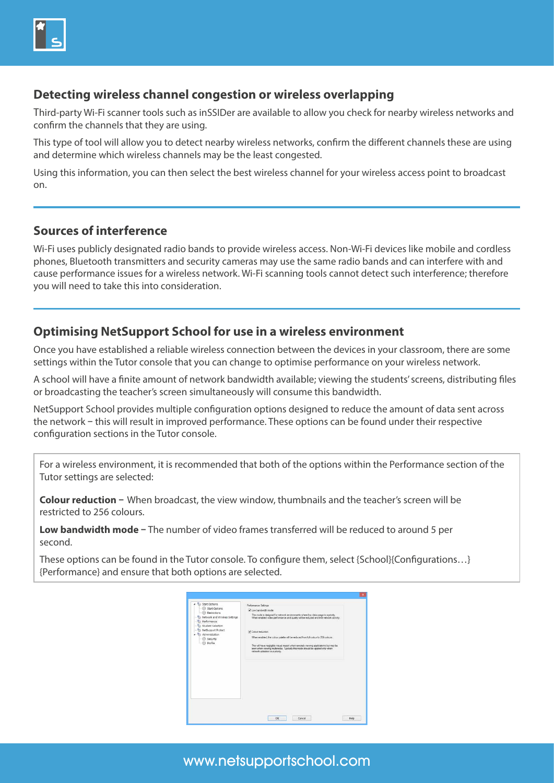

#### **Detecting wireless channel congestion or wireless overlapping**

Third-party Wi-Fi scanner tools such as inSSIDer are available to allow you check for nearby wireless networks and confirm the channels that they are using.

This type of tool will allow you to detect nearby wireless networks, confirm the different channels these are using and determine which wireless channels may be the least congested.

Using this information, you can then select the best wireless channel for your wireless access point to broadcast on.

#### **Sources of interference**

Wi-Fi uses publicly designated radio bands to provide wireless access. Non-Wi-Fi devices like mobile and cordless phones, Bluetooth transmitters and security cameras may use the same radio bands and can interfere with and cause performance issues for a wireless network. Wi-Fi scanning tools cannot detect such interference; therefore you will need to take this into consideration.

#### **Optimising NetSupport School for use in a wireless environment**

Once you have established a reliable wireless connection between the devices in your classroom, there are some settings within the Tutor console that you can change to optimise performance on your wireless network.

A school will have a finite amount of network bandwidth available; viewing the students' screens, distributing files or broadcasting the teacher's screen simultaneously will consume this bandwidth.

NetSupport School provides multiple configuration options designed to reduce the amount of data sent across the network **–** this will result in improved performance. These options can be found under their respective configuration sections in the Tutor console.

For a wireless environment, it is recommended that both of the options within the Performance section of the Tutor settings are selected:

**Colour reduction –** When broadcast, the view window, thumbnails and the teacher's screen will be restricted to 256 colours.

**Low bandwidth mode –** The number of video frames transferred will be reduced to around 5 per second.

These options can be found in the Tutor console. To configure them, select {School}{Configurations…} {Performance} and ensure that both options are selected.



### www.netsupportschool.com